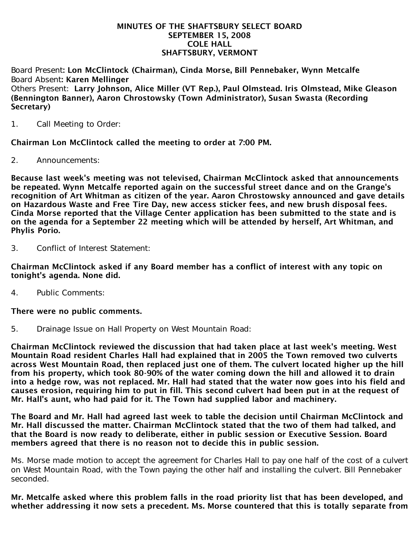#### MINUTES OF THE SHAFTSBURY SELECT BOARD SEPTEMBER 15, 2008 COLE HALL SHAFTSBURY, VERMONT

Board Present: Lon McClintock (Chairman), Cinda Morse, Bill Pennebaker, Wynn Metcalfe Board Absent: Karen Mellinger Others Present: Larry Johnson, Alice Miller (VT Rep.), Paul Olmstead. Iris Olmstead, Mike Gleason (Bennington Banner), Aaron Chrostowsky (Town Administrator), Susan Swasta (Recording Secretary)

1. Call Meeting to Order:

Chairman Lon McClintock called the meeting to order at 7:00 PM.

2. Announcements:

Because last week's meeting was not televised, Chairman McClintock asked that announcements be repeated. Wynn Metcalfe reported again on the successful street dance and on the Grange's recognition of Art Whitman as citizen of the year. Aaron Chrostowsky announced and gave details on Hazardous Waste and Free Tire Day, new access sticker fees, and new brush disposal fees. Cinda Morse reported that the Village Center application has been submitted to the state and is on the agenda for a September 22 meeting which will be attended by herself, Art Whitman, and Phylis Porio.

3. Conflict of Interest Statement:

Chairman McClintock asked if any Board member has a conflict of interest with any topic on tonight's agenda. None did.

4. Public Comments:

#### There were no public comments.

5. Drainage Issue on Hall Property on West Mountain Road:

Chairman McClintock reviewed the discussion that had taken place at last week's meeting. West Mountain Road resident Charles Hall had explained that in 2005 the Town removed two culverts across West Mountain Road, then replaced just one of them. The culvert located higher up the hill from his property, which took 80-90% of the water coming down the hill and allowed it to drain into a hedge row, was not replaced. Mr. Hall had stated that the water now goes into his field and causes erosion, requiring him to put in fill. This second culvert had been put in at the request of Mr. Hall's aunt, who had paid for it. The Town had supplied labor and machinery.

The Board and Mr. Hall had agreed last week to table the decision until Chairman McClintock and Mr. Hall discussed the matter. Chairman McClintock stated that the two of them had talked, and that the Board is now ready to deliberate, either in public session or Executive Session. Board members agreed that there is no reason not to decide this in public session.

Ms. Morse made motion to accept the agreement for Charles Hall to pay one half of the cost of a culvert on West Mountain Road, with the Town paying the other half and installing the culvert. Bill Pennebaker seconded.

Mr. Metcalfe asked where this problem falls in the road priority list that has been developed, and whether addressing it now sets a precedent. Ms. Morse countered that this is totally separate from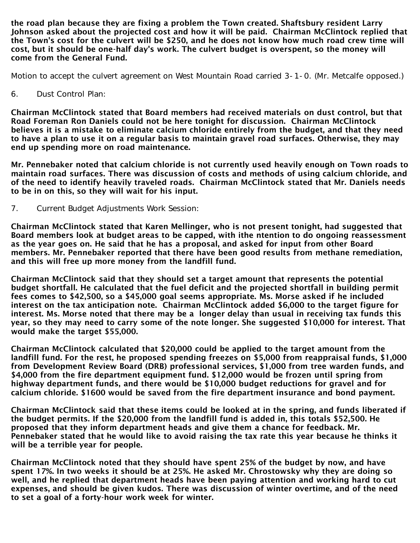the road plan because they are fixing a problem the Town created. Shaftsbury resident Larry Johnson asked about the projected cost and how it will be paid. Chairman McClintock replied that the Town's cost for the culvert will be \$250, and he does not know how much road crew time will cost, but it should be one-half day's work. The culvert budget is overspent, so the money will come from the General Fund.

Motion to accept the culvert agreement on West Mountain Road carried 3-1-0. (Mr. Metcalfe opposed.)

6. Dust Control Plan:

Chairman McClintock stated that Board members had received materials on dust control, but that Road Foreman Ron Daniels could not be here tonight for discussion. Chairman McClintock believes it is a mistake to eliminate calcium chloride entirely from the budget, and that they need to have a plan to use it on a regular basis to maintain gravel road surfaces. Otherwise, they may end up spending more on road maintenance.

Mr. Pennebaker noted that calcium chloride is not currently used heavily enough on Town roads to maintain road surfaces. There was discussion of costs and methods of using calcium chloride, and of the need to identify heavily traveled roads. Chairman McClintock stated that Mr. Daniels needs to be in on this, so they will wait for his input.

7. Current Budget Adjustments Work Session:

Chairman McClintock stated that Karen Mellinger, who is not present tonight, had suggested that Board members look at budget areas to be capped, with ithe ntention to do ongoing reassessment as the year goes on. He said that he has a proposal, and asked for input from other Board members. Mr. Pennebaker reported that there have been good results from methane remediation, and this will free up more money from the landfill fund.

Chairman McClintock said that they should set a target amount that represents the potential budget shortfall. He calculated that the fuel deficit and the projected shortfall in building permit fees comes to \$42,500, so a \$45,000 goal seems appropriate. Ms. Morse asked if he included interest on the tax anticipation note. Chairman McClintock added \$6,000 to the target figure for interest. Ms. Morse noted that there may be a longer delay than usual in receiving tax funds this year, so they may need to carry some of the note longer. She suggested \$10,000 for interest. That would make the target \$55,000.

Chairman McClintock calculated that \$20,000 could be applied to the target amount from the landfill fund. For the rest, he proposed spending freezes on \$5,000 from reappraisal funds, \$1,000 from Development Review Board (DRB) professional services, \$1,000 from tree warden funds, and \$4,000 from the fire department equipment fund. \$12,000 would be frozen until spring from highway department funds, and there would be \$10,000 budget reductions for gravel and for calcium chloride. \$1600 would be saved from the fire department insurance and bond payment.

Chairman McClintock said that these items could be looked at in the spring, and funds liberated if the budget permits. If the \$20,000 from the landfill fund is added in, this totals \$52,500. He proposed that they inform department heads and give them a chance for feedback. Mr. Pennebaker stated that he would like to avoid raising the tax rate this year because he thinks it will be a terrible year for people.

Chairman McClintock noted that they should have spent 25% of the budget by now, and have spent 17%. In two weeks it should be at 25%. He asked Mr. Chrostowsky why they are doing so well, and he replied that department heads have been paying attention and working hard to cut expenses, and should be given kudos. There was discussion of winter overtime, and of the need to set a goal of a forty-hour work week for winter.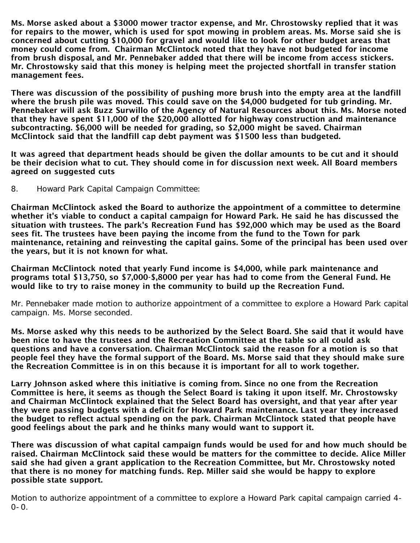Ms. Morse asked about a \$3000 mower tractor expense, and Mr. Chrostowsky replied that it was for repairs to the mower, which is used for spot mowing in problem areas. Ms. Morse said she is concerned about cutting \$10,000 for gravel and would like to look for other budget areas that money could come from. Chairman McClintock noted that they have not budgeted for income from brush disposal, and Mr. Pennebaker added that there will be income from access stickers. Mr. Chrostowsky said that this money is helping meet the projected shortfall in transfer station management fees.

There was discussion of the possibility of pushing more brush into the empty area at the landfill where the brush pile was moved. This could save on the \$4,000 budgeted for tub grinding. Mr. Pennebaker will ask Buzz Surwillo of the Agency of Natural Resources about this. Ms. Morse noted that they have spent \$11,000 of the \$20,000 allotted for highway construction and maintenance subcontracting. \$6,000 will be needed for grading, so \$2,000 might be saved. Chairman McClintock said that the landfill cap debt payment was \$1500 less than budgeted.

It was agreed that department heads should be given the dollar amounts to be cut and it should be their decision what to cut. They should come in for discussion next week. All Board members agreed on suggested cuts

8. Howard Park Capital Campaign Committee:

Chairman McClintock asked the Board to authorize the appointment of a committee to determine whether it's viable to conduct a capital campaign for Howard Park. He said he has discussed the situation with trustees. The park's Recreation Fund has \$92,000 which may be used as the Board sees fit. The trustees have been paying the income from the fund to the Town for park maintenance, retaining and reinvesting the capital gains. Some of the principal has been used over the years, but it is not known for what.

Chairman McClintock noted that yearly Fund income is \$4,000, while park maintenance and programs total \$13,750, so \$7,000-\$,8000 per year has had to come from the General Fund. He would like to try to raise money in the community to build up the Recreation Fund.

Mr. Pennebaker made motion to authorize appointment of a committee to explore a Howard Park capital campaign. Ms. Morse seconded.

Ms. Morse asked why this needs to be authorized by the Select Board. She said that it would have been nice to have the trustees and the Recreation Committee at the table so all could ask questions and have a conversation. Chairman McClintock said the reason for a motion is so that people feel they have the formal support of the Board. Ms. Morse said that they should make sure the Recreation Committee is in on this because it is important for all to work together.

Larry Johnson asked where this initiative is coming from. Since no one from the Recreation Committee is here, it seems as though the Select Board is taking it upon itself. Mr. Chrostowsky and Chairman McClintock explained that the Select Board has oversight, and that year after year they were passing budgets with a deficit for Howard Park maintenance. Last year they increased the budget to reflect actual spending on the park. Chairman McClintock stated that people have good feelings about the park and he thinks many would want to support it.

There was discussion of what capital campaign funds would be used for and how much should be raised. Chairman McClintock said these would be matters for the committee to decide. Alice Miller said she had given a grant application to the Recreation Committee, but Mr. Chrostowsky noted that there is no money for matching funds. Rep. Miller said she would be happy to explore possible state support.

Motion to authorize appointment of a committee to explore a Howard Park capital campaign carried 4- 0-0.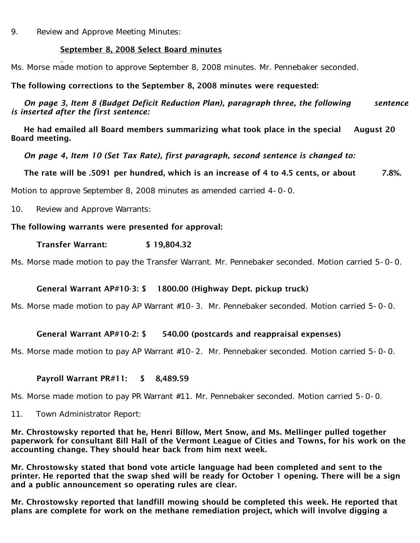9. Review and Approve Meeting Minutes:

# September 8, 2008 Select Board minutes

Ms. Morse made motion to approve September 8, 2008 minutes. Mr. Pennebaker seconded.

# The following corrections to the September 8, 2008 minutes were requested:

 *On page 3, Item 8 (Budget Deficit Reduction Plan), paragraph three, the following sentence is inserted after the first sentence:*

He had emailed all Board members summarizing what took place in the special August 20 Board meeting.

 *On page 4, Item 10 (Set Tax Rate), first paragraph, second sentence is changed to:*

The rate will be .5091 per hundred, which is an increase of 4 to 4.5 cents, or about 7.8%.

Motion to approve September 8, 2008 minutes as amended carried 4-0-0.

10. Review and Approve Warrants:

#### The following warrants were presented for approval:

#### Transfer Warrant: \$ 19,804.32

Ms. Morse made motion to pay the Transfer Warrant. Mr. Pennebaker seconded. Motion carried 5-0-0.

# General Warrant AP#10-3: \$ 1800.00 (Highway Dept. pickup truck)

Ms. Morse made motion to pay AP Warrant #10-3. Mr. Pennebaker seconded. Motion carried 5-0-0.

# General Warrant AP#10-2: \$ 540.00 (postcards and reappraisal expenses)

Ms. Morse made motion to pay AP Warrant #10-2. Mr. Pennebaker seconded. Motion carried 5-0-0.

#### Payroll Warrant PR#11: \$ 8,489.59

Ms. Morse made motion to pay PR Warrant #11. Mr. Pennebaker seconded. Motion carried 5-0-0.

11. Town Administrator Report:

Mr. Chrostowsky reported that he, Henri Billow, Mert Snow, and Ms. Mellinger pulled together paperwork for consultant Bill Hall of the Vermont League of Cities and Towns, for his work on the accounting change. They should hear back from him next week.

Mr. Chrostowsky stated that bond vote article language had been completed and sent to the printer. He reported that the swap shed will be ready for October 1 opening. There will be a sign and a public announcement so operating rules are clear.

Mr. Chrostowsky reported that landfill mowing should be completed this week. He reported that plans are complete for work on the methane remediation project, which will involve digging a